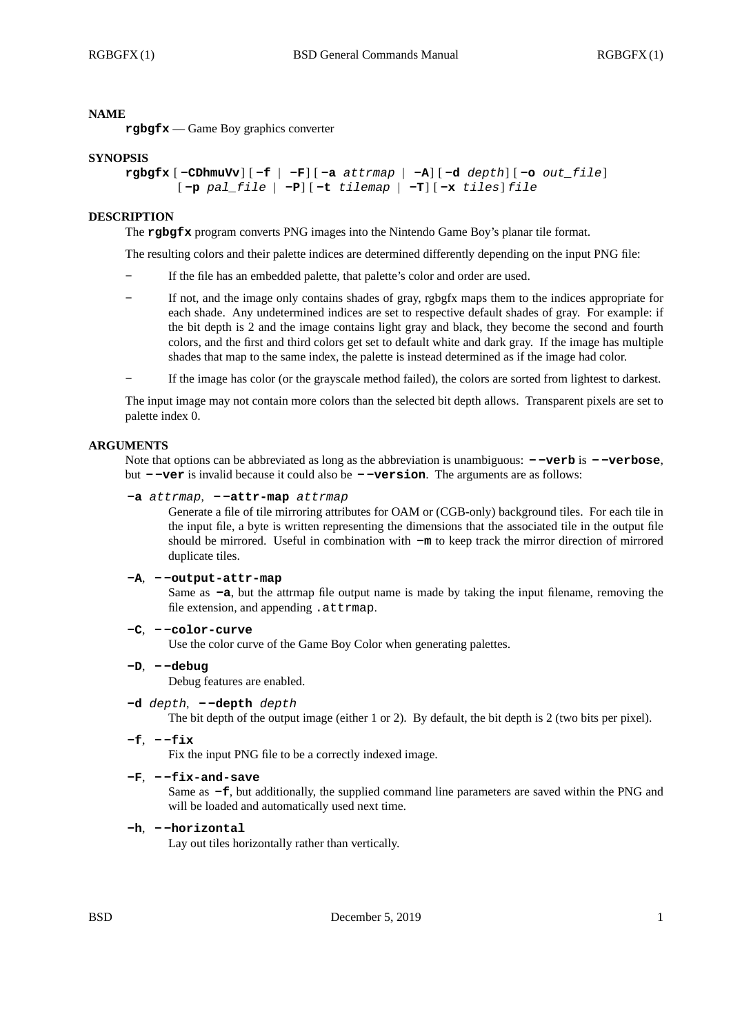### **NAME**

**rgbgfx** — Game Boy graphics converter

### **SYNOPSIS**

```
rgbgfx [ -CDhmuVv] [ -f | -F] [ -a attrmap | -A] [ -d depth] [ -o out_file]
[ -p pal_file | -P] [ -t tilemap | -T] [ -x tiles] file
```
### **DESCRIPTION**

The **rgbgfx** program converts PNG images into the Nintendo Game Boy's planar tile format.

The resulting colors and their palette indices are determined differently depending on the input PNG file:

- **-** If the file has an embedded palette, that palette's color and order are used.
- **-** If not, and the image only contains shades of gray, rgbgfx maps them to the indices appropriate for each shade. Any undetermined indices are set to respective default shades of gray. For example: if the bit depth is 2 and the image contains light gray and black, they become the second and fourth colors, and the first and third colors get set to default white and dark gray. If the image has multiple shades that map to the same index, the palette is instead determined as if the image had color.
- **-** If the image has color (or the grayscale method failed), the colors are sorted from lightest to darkest.

The input image may not contain more colors than the selected bit depth allows. Transparent pixels are set to palette index 0.

### **ARGUMENTS**

Note that options can be abbreviated as long as the abbreviation is unambiguous: **- -verb** is **- -verbose**, but **- -ver** is invalid because it could also be **- -version**. The arguments are as follows:

## **-a** *attrmap*, **- -attr-map** *attrmap*

Generate a file of tile mirroring attributes for OAM or (CGB-only) background tiles. For each tile in the input file, a byte is written representing the dimensions that the associated tile in the output file should be mirrored. Useful in combination with **-m** to keep track the mirror direction of mirrored duplicate tiles.

#### **-A**, **- -output-attr-map**

Same as **-a**, but the attrmap file output name is made by taking the input filename, removing the file extension, and appending .attrmap.

**-C**, **- -color-curve**

Use the color curve of the Game Boy Color when generating palettes.

- **-D**,  **-debug** Debug features are enabled.
- **-d** *depth*,  **-depth** *depth*

The bit depth of the output image (either 1 or 2). By default, the bit depth is 2 (two bits per pixel).

**-f**, **- -fix**

Fix the input PNG file to be a correctly indexed image.

**-F**, **- -fix-and-save**

Same as **-f**, but additionally, the supplied command line parameters are saved within the PNG and will be loaded and automatically used next time.

**-h**, **- -horizontal**

Lay out tiles horizontally rather than vertically.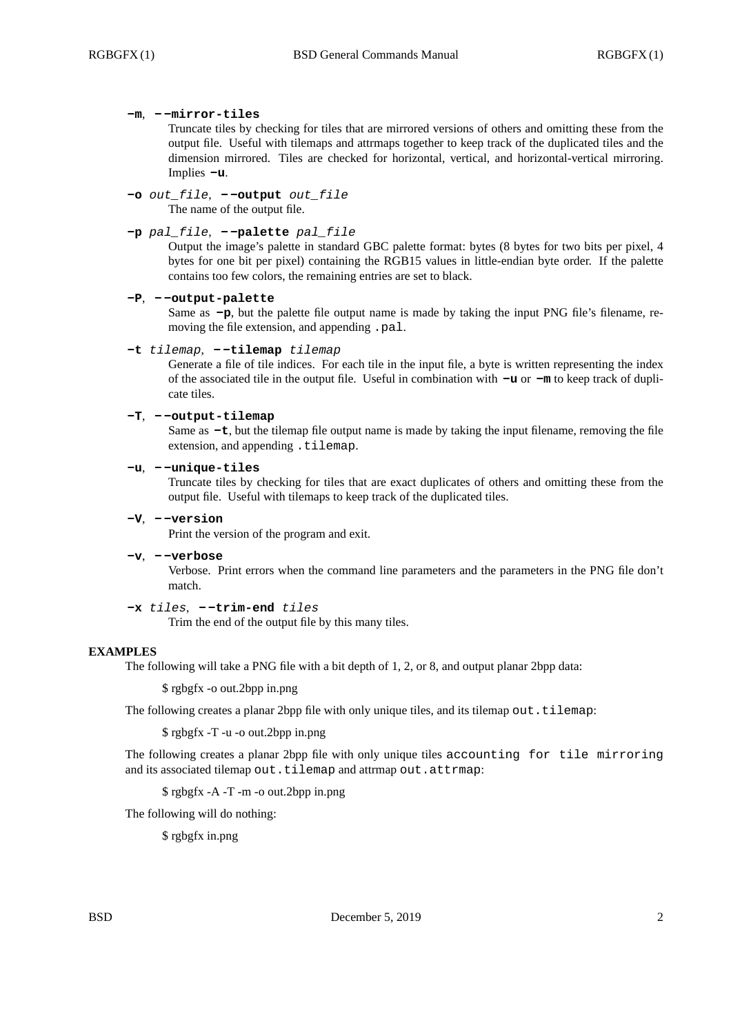### **-m**, **- -mirror-tiles**

Truncate tiles by checking for tiles that are mirrored versions of others and omitting these from the output file. Useful with tilemaps and attrmaps together to keep track of the duplicated tiles and the dimension mirrored. Tiles are checked for horizontal, vertical, and horizontal-vertical mirroring. Implies **-u**.

**-o** *out\_file*, **- -output** *out\_file* The name of the output file.

### **-p** *pal\_file*, **- -palette** *pal\_file*

Output the image's palette in standard GBC palette format: bytes (8 bytes for two bits per pixel, 4 bytes for one bit per pixel) containing the RGB15 values in little-endian byte order. If the palette contains too few colors, the remaining entries are set to black.

### **-P**, **- -output-palette**

Same as **-p**, but the palette file output name is made by taking the input PNG file's filename, removing the file extension, and appending .pal.

### **-t** *tilemap*, **- -tilemap** *tilemap*

Generate a file of tile indices. For each tile in the input file, a byte is written representing the index of the associated tile in the output file. Useful in combination with **-u** or **-m** to keep track of duplicate tiles.

### **-T**, **- -output-tilemap**

Same as **-t**, but the tilemap file output name is made by taking the input filename, removing the file extension, and appending .tilemap.

### **-u**, **- -unique-tiles**

Truncate tiles by checking for tiles that are exact duplicates of others and omitting these from the output file. Useful with tilemaps to keep track of the duplicated tiles.

### **-V**, **- -version**

Print the version of the program and exit.

**-v**, **- -verbose**

Verbose. Print errors when the command line parameters and the parameters in the PNG file don't match.

### **-x** *tiles*, **- -trim-end** *tiles*

Trim the end of the output file by this many tiles.

### **EXAMPLES**

The following will take a PNG file with a bit depth of 1, 2, or 8, and output planar 2bpp data:

\$ rgbgfx -o out.2bpp in.png

The following creates a planar 2bpp file with only unique tiles, and its tilemap out.tilemap:

\$ rgbgfx -T -u -o out.2bpp in.png

The following creates a planar 2bpp file with only unique tiles accounting for tile mirroring and its associated tilemap out.tilemap and attrmap out.attrmap:

### \$ rgbgfx -A -T -m -o out.2bpp in.png

The following will do nothing:

\$ rgbgfx in.png